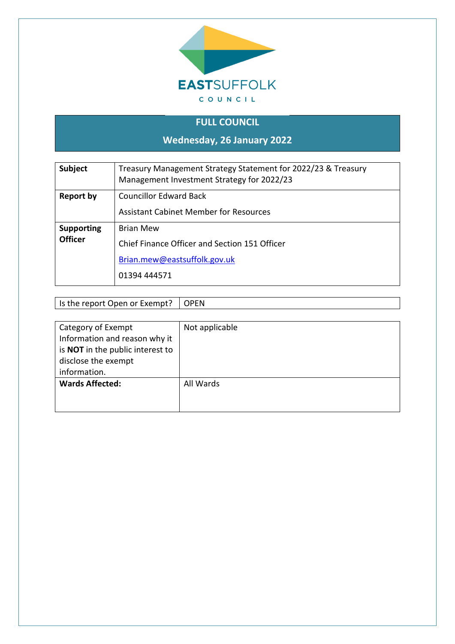

# **FULL COUNCIL Wednesday, 26 January 2022**

| <b>Subject</b>                      | Treasury Management Strategy Statement for 2022/23 & Treasury<br>Management Investment Strategy for 2022/23       |
|-------------------------------------|-------------------------------------------------------------------------------------------------------------------|
| Report by                           | <b>Councillor Edward Back</b><br><b>Assistant Cabinet Member for Resources</b>                                    |
| <b>Supporting</b><br><b>Officer</b> | <b>Brian Mew</b><br>Chief Finance Officer and Section 151 Officer<br>Brian.mew@eastsuffolk.gov.uk<br>01394 444571 |

Is the report Open or Exempt? | OPEN

| Category of Exempt                      | Not applicable |
|-----------------------------------------|----------------|
| Information and reason why it           |                |
| is <b>NOT</b> in the public interest to |                |
| disclose the exempt                     |                |
| information.                            |                |
| <b>Wards Affected:</b>                  | All Wards      |
|                                         |                |
|                                         |                |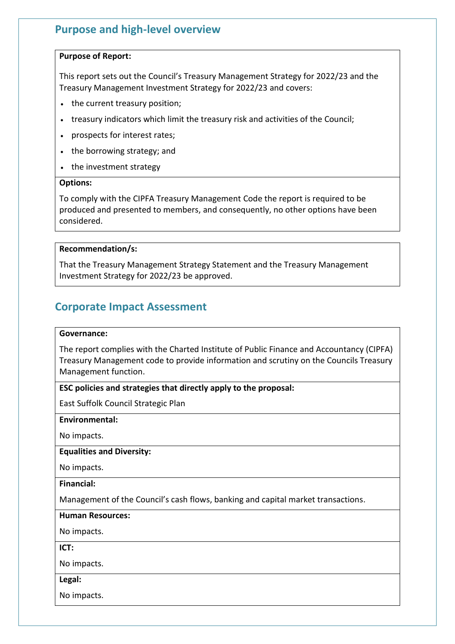# **Purpose and high-level overview**

### **Purpose of Report:**

This report sets out the Council's Treasury Management Strategy for 2022/23 and the Treasury Management Investment Strategy for 2022/23 and covers:

- the current treasury position;
- treasury indicators which limit the treasury risk and activities of the Council;
- prospects for interest rates;
- the borrowing strategy; and
- the investment strategy

### **Options:**

To comply with the CIPFA Treasury Management Code the report is required to be produced and presented to members, and consequently, no other options have been considered.

### **Recommendation/s:**

That the Treasury Management Strategy Statement and the Treasury Management Investment Strategy for 2022/23 be approved.

# **Corporate Impact Assessment**

### **Governance:**

The report complies with the Charted Institute of Public Finance and Accountancy (CIPFA) Treasury Management code to provide information and scrutiny on the Councils Treasury Management function.

# **ESC policies and strategies that directly apply to the proposal:**

East Suffolk Council Strategic Plan

**Environmental:**

No impacts.

#### **Equalities and Diversity:**

No impacts.

**Financial:**

Management of the Council's cash flows, banking and capital market transactions.

### **Human Resources:**

No impacts.

**ICT:**

No impacts.

#### **Legal:**

No impacts.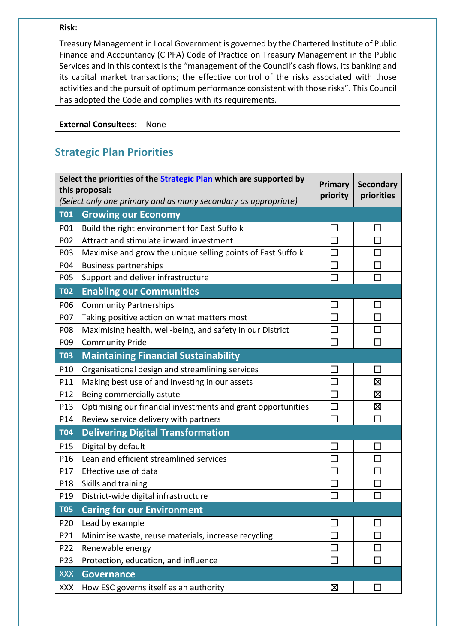### **Risk:**

Treasury Management in Local Government is governed by the Chartered Institute of Public Finance and Accountancy (CIPFA) Code of Practice on Treasury Management in the Public Services and in this context is the "management of the Council's cash flows, its banking and its capital market transactions; the effective control of the risks associated with those activities and the pursuit of optimum performance consistent with those risks". This Council has adopted the Code and complies with its requirements.

**External Consultees:** None

# **Strategic Plan Priorities**

| Select the priorities of the <b>Strategic Plan</b> which are supported by<br>this proposal: |                                                                |          | <b>Secondary</b> |
|---------------------------------------------------------------------------------------------|----------------------------------------------------------------|----------|------------------|
|                                                                                             | (Select only one primary and as many secondary as appropriate) | priority | priorities       |
| <b>T01</b>                                                                                  | <b>Growing our Economy</b>                                     |          |                  |
| P01                                                                                         | Build the right environment for East Suffolk                   | $\Box$   | $\sim$           |
| P02                                                                                         | Attract and stimulate inward investment                        | $\Box$   |                  |
| P03                                                                                         | Maximise and grow the unique selling points of East Suffolk    | $\Box$   |                  |
| P04                                                                                         | <b>Business partnerships</b>                                   | $\Box$   |                  |
| P05                                                                                         | Support and deliver infrastructure                             | П        |                  |
| <b>T02</b>                                                                                  | <b>Enabling our Communities</b>                                |          |                  |
| P06                                                                                         | <b>Community Partnerships</b>                                  | $\Box$   | ×                |
| P07                                                                                         | Taking positive action on what matters most                    | $\Box$   |                  |
| P08                                                                                         | Maximising health, well-being, and safety in our District      | $\Box$   |                  |
| P09                                                                                         | <b>Community Pride</b>                                         | $\Box$   |                  |
| <b>T03</b>                                                                                  | <b>Maintaining Financial Sustainability</b>                    |          |                  |
| P10                                                                                         | Organisational design and streamlining services                | $\Box$   | П                |
| P11                                                                                         | Making best use of and investing in our assets                 | $\Box$   | $\boxtimes$      |
| P12                                                                                         | Being commercially astute                                      |          | ⊠                |
| P13                                                                                         | Optimising our financial investments and grant opportunities   | $\Box$   | 区                |
| P14                                                                                         | Review service delivery with partners                          | $\Box$   | П                |
| <b>T04</b>                                                                                  | <b>Delivering Digital Transformation</b>                       |          |                  |
| P15                                                                                         | Digital by default                                             | $\Box$   |                  |
| P16                                                                                         | Lean and efficient streamlined services                        | $\Box$   |                  |
| P17                                                                                         | Effective use of data                                          | $\Box$   |                  |
| P18                                                                                         | Skills and training                                            | $\Box$   |                  |
| P19                                                                                         | District-wide digital infrastructure                           | $\Box$   |                  |
| <b>T05</b>                                                                                  | <b>Caring for our Environment</b>                              |          |                  |
| P20                                                                                         | Lead by example                                                |          |                  |
| P21                                                                                         | Minimise waste, reuse materials, increase recycling            |          |                  |
| P22                                                                                         | Renewable energy                                               |          |                  |
| P <sub>23</sub>                                                                             | Protection, education, and influence                           | $\Box$   |                  |
| <b>XXX</b>                                                                                  | <b>Governance</b>                                              |          |                  |
| XXX                                                                                         | How ESC governs itself as an authority                         | ⊠        |                  |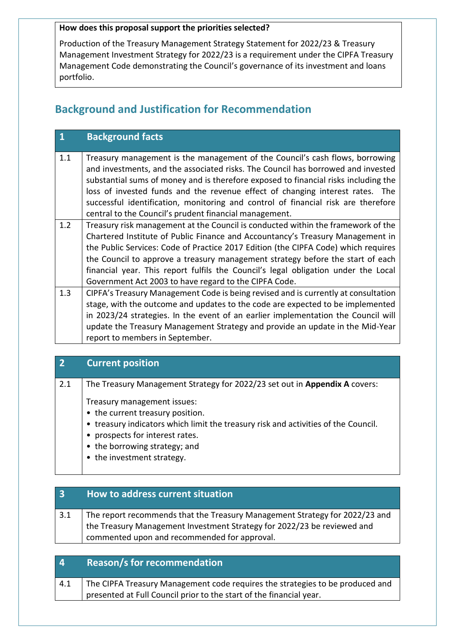## **How does this proposal support the priorities selected?**

Production of the Treasury Management Strategy Statement for 2022/23 & Treasury Management Investment Strategy for 2022/23 is a requirement under the CIPFA Treasury Management Code demonstrating the Council's governance of its investment and loans portfolio.

# **Background and Justification for Recommendation**

|     | <b>Background facts</b>                                                                                                                                          |
|-----|------------------------------------------------------------------------------------------------------------------------------------------------------------------|
| 1.1 | Treasury management is the management of the Council's cash flows, borrowing<br>and investments, and the associated risks. The Council has borrowed and invested |
|     | substantial sums of money and is therefore exposed to financial risks including the                                                                              |
|     | loss of invested funds and the revenue effect of changing interest rates. The                                                                                    |
|     | successful identification, monitoring and control of financial risk are therefore                                                                                |
|     | central to the Council's prudent financial management.                                                                                                           |
| 1.2 | Treasury risk management at the Council is conducted within the framework of the                                                                                 |
|     | Chartered Institute of Public Finance and Accountancy's Treasury Management in                                                                                   |
|     | the Public Services: Code of Practice 2017 Edition (the CIPFA Code) which requires                                                                               |
|     | the Council to approve a treasury management strategy before the start of each                                                                                   |
|     | financial year. This report fulfils the Council's legal obligation under the Local                                                                               |
|     | Government Act 2003 to have regard to the CIPFA Code.                                                                                                            |
| 1.3 | CIPFA's Treasury Management Code is being revised and is currently at consultation                                                                               |
|     | stage, with the outcome and updates to the code are expected to be implemented                                                                                   |
|     | in 2023/24 strategies. In the event of an earlier implementation the Council will                                                                                |
|     | update the Treasury Management Strategy and provide an update in the Mid-Year                                                                                    |
|     | report to members in September.                                                                                                                                  |

# **2 Current position**

2.1 The Treasury Management Strategy for 2022/23 set out in **Appendix A** covers:

Treasury management issues:

- the current treasury position.
- treasury indicators which limit the treasury risk and activities of the Council.
- prospects for interest rates.
- the borrowing strategy; and
- the investment strategy.

| $\overline{3}$ | How to address current situation                                                                                                                                                                       |
|----------------|--------------------------------------------------------------------------------------------------------------------------------------------------------------------------------------------------------|
| 3.1            | The report recommends that the Treasury Management Strategy for 2022/23 and<br>the Treasury Management Investment Strategy for 2022/23 be reviewed and<br>commented upon and recommended for approval. |

| $\overline{4}$ | <b>Reason/s for recommendation</b>                                            |
|----------------|-------------------------------------------------------------------------------|
| 4.1            | The CIPFA Treasury Management code requires the strategies to be produced and |
|                | presented at Full Council prior to the start of the financial year.           |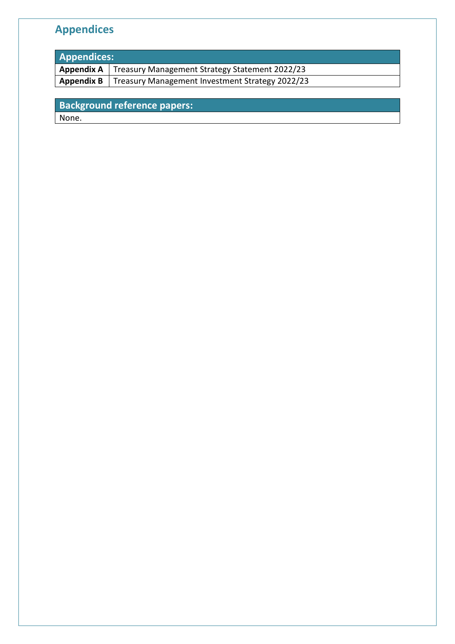# **Appendices**

| <b>Appendices:</b> |                                                              |  |
|--------------------|--------------------------------------------------------------|--|
|                    | Appendix A   Treasury Management Strategy Statement 2022/23  |  |
|                    | Appendix B   Treasury Management Investment Strategy 2022/23 |  |
|                    |                                                              |  |

**Background reference papers:** None.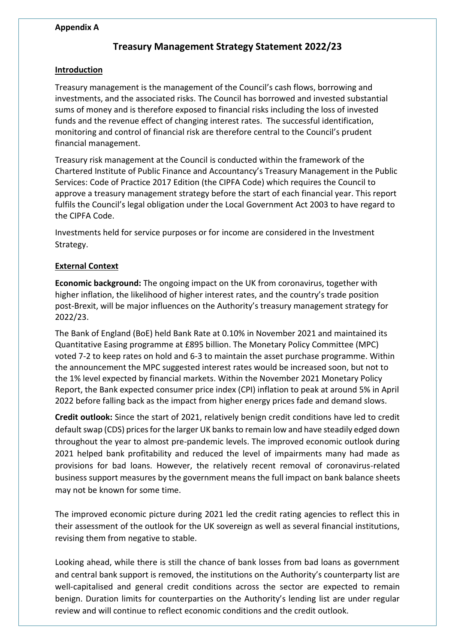### **Appendix A**

# **Treasury Management Strategy Statement 2022/23**

### **Introduction**

Treasury management is the management of the Council's cash flows, borrowing and investments, and the associated risks. The Council has borrowed and invested substantial sums of money and is therefore exposed to financial risks including the loss of invested funds and the revenue effect of changing interest rates. The successful identification, monitoring and control of financial risk are therefore central to the Council's prudent financial management.

Treasury risk management at the Council is conducted within the framework of the Chartered Institute of Public Finance and Accountancy's Treasury Management in the Public Services: Code of Practice 2017 Edition (the CIPFA Code) which requires the Council to approve a treasury management strategy before the start of each financial year. This report fulfils the Council's legal obligation under the Local Government Act 2003 to have regard to the CIPFA Code.

Investments held for service purposes or for income are considered in the Investment Strategy.

## **External Context**

**Economic background:** The ongoing impact on the UK from coronavirus, together with higher inflation, the likelihood of higher interest rates, and the country's trade position post-Brexit, will be major influences on the Authority's treasury management strategy for 2022/23.

The Bank of England (BoE) held Bank Rate at 0.10% in November 2021 and maintained its Quantitative Easing programme at £895 billion. The Monetary Policy Committee (MPC) voted 7-2 to keep rates on hold and 6-3 to maintain the asset purchase programme. Within the announcement the MPC suggested interest rates would be increased soon, but not to the 1% level expected by financial markets. Within the November 2021 Monetary Policy Report, the Bank expected consumer price index (CPI) inflation to peak at around 5% in April 2022 before falling back as the impact from higher energy prices fade and demand slows.

**Credit outlook:** Since the start of 2021, relatively benign credit conditions have led to credit default swap (CDS) prices for the larger UK banks to remain low and have steadily edged down throughout the year to almost pre-pandemic levels. The improved economic outlook during 2021 helped bank profitability and reduced the level of impairments many had made as provisions for bad loans. However, the relatively recent removal of coronavirus-related business support measures by the government means the full impact on bank balance sheets may not be known for some time.

The improved economic picture during 2021 led the credit rating agencies to reflect this in their assessment of the outlook for the UK sovereign as well as several financial institutions, revising them from negative to stable.

Looking ahead, while there is still the chance of bank losses from bad loans as government and central bank support is removed, the institutions on the Authority's counterparty list are well-capitalised and general credit conditions across the sector are expected to remain benign. Duration limits for counterparties on the Authority's lending list are under regular review and will continue to reflect economic conditions and the credit outlook.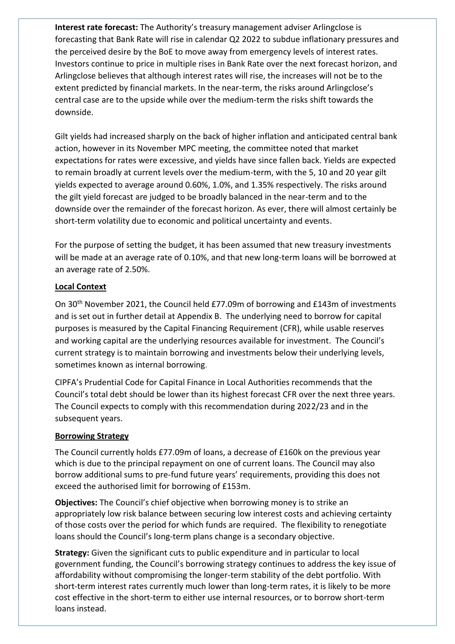**Interest rate forecast:** The Authority's treasury management adviser Arlingclose is forecasting that Bank Rate will rise in calendar Q2 2022 to subdue inflationary pressures and the perceived desire by the BoE to move away from emergency levels of interest rates. Investors continue to price in multiple rises in Bank Rate over the next forecast horizon, and Arlingclose believes that although interest rates will rise, the increases will not be to the extent predicted by financial markets. In the near-term, the risks around Arlingclose's central case are to the upside while over the medium-term the risks shift towards the downside.

Gilt yields had increased sharply on the back of higher inflation and anticipated central bank action, however in its November MPC meeting, the committee noted that market expectations for rates were excessive, and yields have since fallen back. Yields are expected to remain broadly at current levels over the medium-term, with the 5, 10 and 20 year gilt yields expected to average around 0.60%, 1.0%, and 1.35% respectively. The risks around the gilt yield forecast are judged to be broadly balanced in the near-term and to the downside over the remainder of the forecast horizon. As ever, there will almost certainly be short-term volatility due to economic and political uncertainty and events.

For the purpose of setting the budget, it has been assumed that new treasury investments will be made at an average rate of 0.10%, and that new long-term loans will be borrowed at an average rate of 2.50%.

## **Local Context**

On 30th November 2021, the Council held £77.09m of borrowing and £143m of investments and is set out in further detail at Appendix B. The underlying need to borrow for capital purposes is measured by the Capital Financing Requirement (CFR), while usable reserves and working capital are the underlying resources available for investment. The Council's current strategy is to maintain borrowing and investments below their underlying levels, sometimes known as internal borrowing.

CIPFA's Prudential Code for Capital Finance in Local Authorities recommends that the Council's total debt should be lower than its highest forecast CFR over the next three years. The Council expects to comply with this recommendation during 2022/23 and in the subsequent years.

### **Borrowing Strategy**

The Council currently holds £77.09m of loans, a decrease of £160k on the previous year which is due to the principal repayment on one of current loans. The Council may also borrow additional sums to pre-fund future years' requirements, providing this does not exceed the authorised limit for borrowing of £153m.

**Objectives:** The Council's chief objective when borrowing money is to strike an appropriately low risk balance between securing low interest costs and achieving certainty of those costs over the period for which funds are required. The flexibility to renegotiate loans should the Council's long-term plans change is a secondary objective.

**Strategy:** Given the significant cuts to public expenditure and in particular to local government funding, the Council's borrowing strategy continues to address the key issue of affordability without compromising the longer-term stability of the debt portfolio. With short-term interest rates currently much lower than long-term rates, it is likely to be more cost effective in the short-term to either use internal resources, or to borrow short-term loans instead.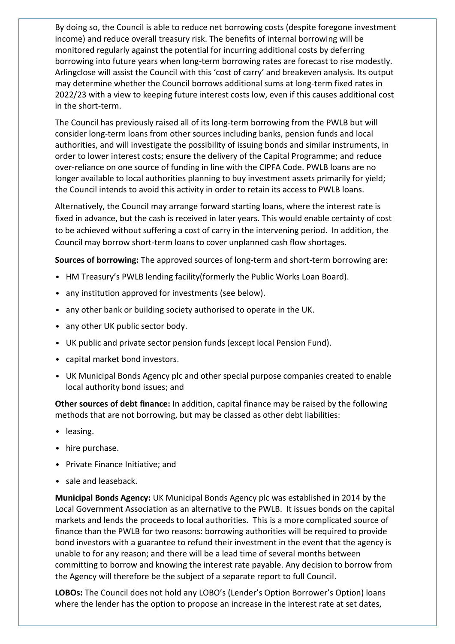By doing so, the Council is able to reduce net borrowing costs (despite foregone investment income) and reduce overall treasury risk. The benefits of internal borrowing will be monitored regularly against the potential for incurring additional costs by deferring borrowing into future years when long-term borrowing rates are forecast to rise modestly. Arlingclose will assist the Council with this 'cost of carry' and breakeven analysis. Its output may determine whether the Council borrows additional sums at long-term fixed rates in 2022/23 with a view to keeping future interest costs low, even if this causes additional cost in the short-term.

The Council has previously raised all of its long-term borrowing from the PWLB but will consider long-term loans from other sources including banks, pension funds and local authorities, and will investigate the possibility of issuing bonds and similar instruments, in order to lower interest costs; ensure the delivery of the Capital Programme; and reduce over-reliance on one source of funding in line with the CIPFA Code. PWLB loans are no longer available to local authorities planning to buy investment assets primarily for yield; the Council intends to avoid this activity in order to retain its access to PWLB loans.

Alternatively, the Council may arrange forward starting loans, where the interest rate is fixed in advance, but the cash is received in later years. This would enable certainty of cost to be achieved without suffering a cost of carry in the intervening period. In addition, the Council may borrow short-term loans to cover unplanned cash flow shortages.

**Sources of borrowing:** The approved sources of long-term and short-term borrowing are:

- HM Treasury's PWLB lending facility(formerly the Public Works Loan Board).
- any institution approved for investments (see below).
- any other bank or building society authorised to operate in the UK.
- any other UK public sector body.
- UK public and private sector pension funds (except local Pension Fund).
- capital market bond investors.
- UK Municipal Bonds Agency plc and other special purpose companies created to enable local authority bond issues; and

**Other sources of debt finance:** In addition, capital finance may be raised by the following methods that are not borrowing, but may be classed as other debt liabilities:

- leasing.
- hire purchase.
- Private Finance Initiative; and
- sale and leaseback.

**Municipal Bonds Agency:** UK Municipal Bonds Agency plc was established in 2014 by the Local Government Association as an alternative to the PWLB. It issues bonds on the capital markets and lends the proceeds to local authorities. This is a more complicated source of finance than the PWLB for two reasons: borrowing authorities will be required to provide bond investors with a guarantee to refund their investment in the event that the agency is unable to for any reason; and there will be a lead time of several months between committing to borrow and knowing the interest rate payable. Any decision to borrow from the Agency will therefore be the subject of a separate report to full Council.

**LOBOs:** The Council does not hold any LOBO's (Lender's Option Borrower's Option) loans where the lender has the option to propose an increase in the interest rate at set dates,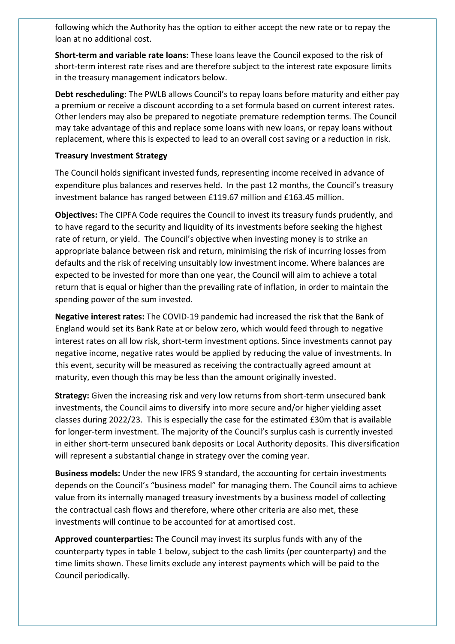following which the Authority has the option to either accept the new rate or to repay the loan at no additional cost.

**Short-term and variable rate loans:** These loans leave the Council exposed to the risk of short-term interest rate rises and are therefore subject to the interest rate exposure limits in the treasury management indicators below.

**Debt rescheduling:** The PWLB allows Council's to repay loans before maturity and either pay a premium or receive a discount according to a set formula based on current interest rates. Other lenders may also be prepared to negotiate premature redemption terms. The Council may take advantage of this and replace some loans with new loans, or repay loans without replacement, where this is expected to lead to an overall cost saving or a reduction in risk.

## **Treasury Investment Strategy**

The Council holds significant invested funds, representing income received in advance of expenditure plus balances and reserves held. In the past 12 months, the Council's treasury investment balance has ranged between £119.67 million and £163.45 million.

**Objectives:** The CIPFA Code requires the Council to invest its treasury funds prudently, and to have regard to the security and liquidity of its investments before seeking the highest rate of return, or yield. The Council's objective when investing money is to strike an appropriate balance between risk and return, minimising the risk of incurring losses from defaults and the risk of receiving unsuitably low investment income. Where balances are expected to be invested for more than one year, the Council will aim to achieve a total return that is equal or higher than the prevailing rate of inflation, in order to maintain the spending power of the sum invested.

**Negative interest rates:** The COVID-19 pandemic had increased the risk that the Bank of England would set its Bank Rate at or below zero, which would feed through to negative interest rates on all low risk, short-term investment options. Since investments cannot pay negative income, negative rates would be applied by reducing the value of investments. In this event, security will be measured as receiving the contractually agreed amount at maturity, even though this may be less than the amount originally invested.

**Strategy:** Given the increasing risk and very low returns from short-term unsecured bank investments, the Council aims to diversify into more secure and/or higher yielding asset classes during 2022/23. This is especially the case for the estimated £30m that is available for longer-term investment. The majority of the Council's surplus cash is currently invested in either short-term unsecured bank deposits or Local Authority deposits. This diversification will represent a substantial change in strategy over the coming year.

**Business models:** Under the new IFRS 9 standard, the accounting for certain investments depends on the Council's "business model" for managing them. The Council aims to achieve value from its internally managed treasury investments by a business model of collecting the contractual cash flows and therefore, where other criteria are also met, these investments will continue to be accounted for at amortised cost.

**Approved counterparties:** The Council may invest its surplus funds with any of the counterparty types in table 1 below, subject to the cash limits (per counterparty) and the time limits shown. These limits exclude any interest payments which will be paid to the Council periodically.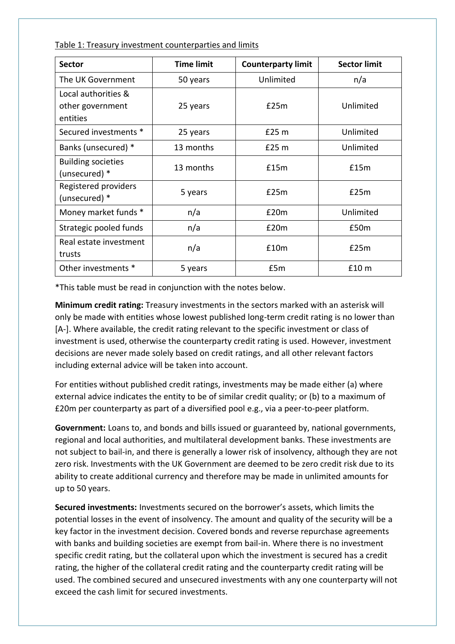Table 1: Treasury investment counterparties and limits

| <b>Sector</b>                                       | <b>Time limit</b> | <b>Counterparty limit</b> | <b>Sector limit</b> |
|-----------------------------------------------------|-------------------|---------------------------|---------------------|
| The UK Government                                   | 50 years          | Unlimited                 | n/a                 |
| Local authorities &<br>other government<br>entities | 25 years          | £25m                      | Unlimited           |
| Secured investments *                               | 25 years          | £25 <sub>m</sub>          | Unlimited           |
| Banks (unsecured) *                                 | 13 months         | £25 m                     | Unlimited           |
| <b>Building societies</b><br>(unsecured) *          | 13 months         | £15m                      | £15m                |
| Registered providers<br>(unsecured) *               | 5 years           | £25m                      | £25m                |
| Money market funds *                                | n/a               | £20m                      | Unlimited           |
| Strategic pooled funds                              | n/a               | £20m                      | £50m                |
| Real estate investment<br>trusts                    | n/a               | £10m                      | £25m                |
| Other investments *                                 | 5 years           | £5m                       | £10 m               |

\*This table must be read in conjunction with the notes below.

**Minimum credit rating:** Treasury investments in the sectors marked with an asterisk will only be made with entities whose lowest published long-term credit rating is no lower than [A-]. Where available, the credit rating relevant to the specific investment or class of investment is used, otherwise the counterparty credit rating is used. However, investment decisions are never made solely based on credit ratings, and all other relevant factors including external advice will be taken into account.

For entities without published credit ratings, investments may be made either (a) where external advice indicates the entity to be of similar credit quality; or (b) to a maximum of £20m per counterparty as part of a diversified pool e.g., via a peer-to-peer platform.

**Government:** Loans to, and bonds and bills issued or guaranteed by, national governments, regional and local authorities, and multilateral development banks. These investments are not subject to bail-in, and there is generally a lower risk of insolvency, although they are not zero risk. Investments with the UK Government are deemed to be zero credit risk due to its ability to create additional currency and therefore may be made in unlimited amounts for up to 50 years.

**Secured investments:** Investments secured on the borrower's assets, which limits the potential losses in the event of insolvency. The amount and quality of the security will be a key factor in the investment decision. Covered bonds and reverse repurchase agreements with banks and building societies are exempt from bail-in. Where there is no investment specific credit rating, but the collateral upon which the investment is secured has a credit rating, the higher of the collateral credit rating and the counterparty credit rating will be used. The combined secured and unsecured investments with any one counterparty will not exceed the cash limit for secured investments.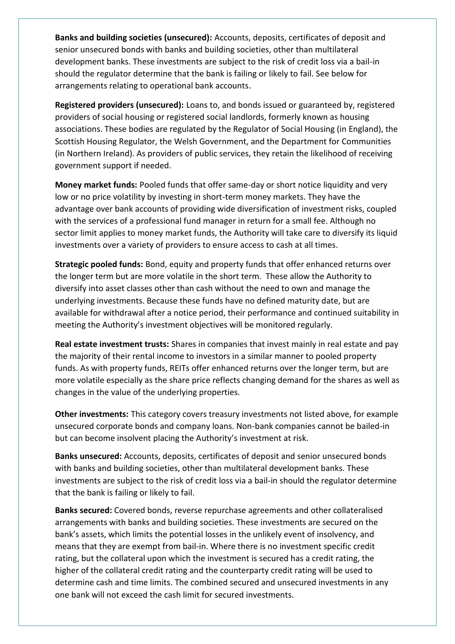**Banks and building societies (unsecured):** Accounts, deposits, certificates of deposit and senior unsecured bonds with banks and building societies, other than multilateral development banks. These investments are subject to the risk of credit loss via a bail-in should the regulator determine that the bank is failing or likely to fail. See below for arrangements relating to operational bank accounts.

**Registered providers (unsecured):** Loans to, and bonds issued or guaranteed by, registered providers of social housing or registered social landlords, formerly known as housing associations. These bodies are regulated by the Regulator of Social Housing (in England), the Scottish Housing Regulator, the Welsh Government, and the Department for Communities (in Northern Ireland). As providers of public services, they retain the likelihood of receiving government support if needed.

**Money market funds:** Pooled funds that offer same-day or short notice liquidity and very low or no price volatility by investing in short-term money markets. They have the advantage over bank accounts of providing wide diversification of investment risks, coupled with the services of a professional fund manager in return for a small fee. Although no sector limit applies to money market funds, the Authority will take care to diversify its liquid investments over a variety of providers to ensure access to cash at all times.

**Strategic pooled funds:** Bond, equity and property funds that offer enhanced returns over the longer term but are more volatile in the short term. These allow the Authority to diversify into asset classes other than cash without the need to own and manage the underlying investments. Because these funds have no defined maturity date, but are available for withdrawal after a notice period, their performance and continued suitability in meeting the Authority's investment objectives will be monitored regularly.

**Real estate investment trusts:** Shares in companies that invest mainly in real estate and pay the majority of their rental income to investors in a similar manner to pooled property funds. As with property funds, REITs offer enhanced returns over the longer term, but are more volatile especially as the share price reflects changing demand for the shares as well as changes in the value of the underlying properties.

**Other investments:** This category covers treasury investments not listed above, for example unsecured corporate bonds and company loans. Non-bank companies cannot be bailed-in but can become insolvent placing the Authority's investment at risk.

**Banks unsecured:** Accounts, deposits, certificates of deposit and senior unsecured bonds with banks and building societies, other than multilateral development banks. These investments are subject to the risk of credit loss via a bail-in should the regulator determine that the bank is failing or likely to fail.

**Banks secured:** Covered bonds, reverse repurchase agreements and other collateralised arrangements with banks and building societies. These investments are secured on the bank's assets, which limits the potential losses in the unlikely event of insolvency, and means that they are exempt from bail-in. Where there is no investment specific credit rating, but the collateral upon which the investment is secured has a credit rating, the higher of the collateral credit rating and the counterparty credit rating will be used to determine cash and time limits. The combined secured and unsecured investments in any one bank will not exceed the cash limit for secured investments.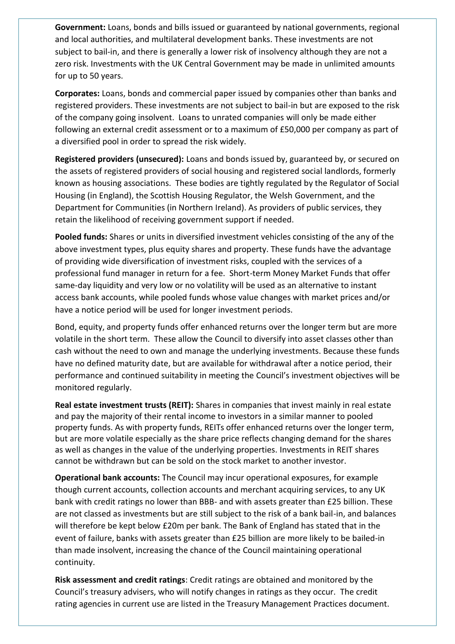**Government:** Loans, bonds and bills issued or guaranteed by national governments, regional and local authorities, and multilateral development banks. These investments are not subject to bail-in, and there is generally a lower risk of insolvency although they are not a zero risk. Investments with the UK Central Government may be made in unlimited amounts for up to 50 years.

**Corporates:** Loans, bonds and commercial paper issued by companies other than banks and registered providers. These investments are not subject to bail-in but are exposed to the risk of the company going insolvent. Loans to unrated companies will only be made either following an external credit assessment or to a maximum of £50,000 per company as part of a diversified pool in order to spread the risk widely.

**Registered providers (unsecured):** Loans and bonds issued by, guaranteed by, or secured on the assets of registered providers of social housing and registered social landlords, formerly known as housing associations. These bodies are tightly regulated by the Regulator of Social Housing (in England), the Scottish Housing Regulator, the Welsh Government, and the Department for Communities (in Northern Ireland). As providers of public services, they retain the likelihood of receiving government support if needed.

**Pooled funds:** Shares or units in diversified investment vehicles consisting of the any of the above investment types, plus equity shares and property. These funds have the advantage of providing wide diversification of investment risks, coupled with the services of a professional fund manager in return for a fee. Short-term Money Market Funds that offer same-day liquidity and very low or no volatility will be used as an alternative to instant access bank accounts, while pooled funds whose value changes with market prices and/or have a notice period will be used for longer investment periods.

Bond, equity, and property funds offer enhanced returns over the longer term but are more volatile in the short term. These allow the Council to diversify into asset classes other than cash without the need to own and manage the underlying investments. Because these funds have no defined maturity date, but are available for withdrawal after a notice period, their performance and continued suitability in meeting the Council's investment objectives will be monitored regularly.

**Real estate investment trusts (REIT):** Shares in companies that invest mainly in real estate and pay the majority of their rental income to investors in a similar manner to pooled property funds. As with property funds, REITs offer enhanced returns over the longer term, but are more volatile especially as the share price reflects changing demand for the shares as well as changes in the value of the underlying properties. Investments in REIT shares cannot be withdrawn but can be sold on the stock market to another investor.

**Operational bank accounts:** The Council may incur operational exposures, for example though current accounts, collection accounts and merchant acquiring services, to any UK bank with credit ratings no lower than BBB- and with assets greater than £25 billion. These are not classed as investments but are still subject to the risk of a bank bail-in, and balances will therefore be kept below £20m per bank. The Bank of England has stated that in the event of failure, banks with assets greater than £25 billion are more likely to be bailed-in than made insolvent, increasing the chance of the Council maintaining operational continuity.

**Risk assessment and credit ratings**: Credit ratings are obtained and monitored by the Council's treasury advisers, who will notify changes in ratings as they occur. The credit rating agencies in current use are listed in the Treasury Management Practices document.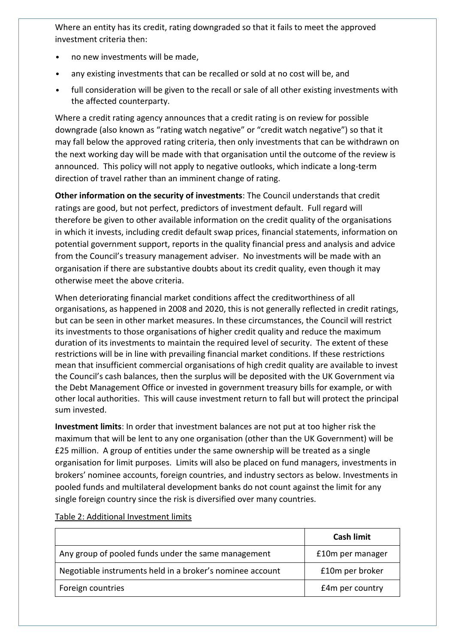Where an entity has its credit, rating downgraded so that it fails to meet the approved investment criteria then:

- no new investments will be made,
- any existing investments that can be recalled or sold at no cost will be, and
- full consideration will be given to the recall or sale of all other existing investments with the affected counterparty.

Where a credit rating agency announces that a credit rating is on review for possible downgrade (also known as "rating watch negative" or "credit watch negative") so that it may fall below the approved rating criteria, then only investments that can be withdrawn on the next working day will be made with that organisation until the outcome of the review is announced. This policy will not apply to negative outlooks, which indicate a long-term direction of travel rather than an imminent change of rating.

**Other information on the security of investments**: The Council understands that credit ratings are good, but not perfect, predictors of investment default. Full regard will therefore be given to other available information on the credit quality of the organisations in which it invests, including credit default swap prices, financial statements, information on potential government support, reports in the quality financial press and analysis and advice from the Council's treasury management adviser. No investments will be made with an organisation if there are substantive doubts about its credit quality, even though it may otherwise meet the above criteria.

When deteriorating financial market conditions affect the creditworthiness of all organisations, as happened in 2008 and 2020, this is not generally reflected in credit ratings, but can be seen in other market measures. In these circumstances, the Council will restrict its investments to those organisations of higher credit quality and reduce the maximum duration of its investments to maintain the required level of security. The extent of these restrictions will be in line with prevailing financial market conditions. If these restrictions mean that insufficient commercial organisations of high credit quality are available to invest the Council's cash balances, then the surplus will be deposited with the UK Government via the Debt Management Office or invested in government treasury bills for example, or with other local authorities. This will cause investment return to fall but will protect the principal sum invested.

**Investment limits**: In order that investment balances are not put at too higher risk the maximum that will be lent to any one organisation (other than the UK Government) will be £25 million. A group of entities under the same ownership will be treated as a single organisation for limit purposes. Limits will also be placed on fund managers, investments in brokers' nominee accounts, foreign countries, and industry sectors as below. Investments in pooled funds and multilateral development banks do not count against the limit for any single foreign country since the risk is diversified over many countries.

|                                                           | <b>Cash limit</b> |
|-----------------------------------------------------------|-------------------|
| Any group of pooled funds under the same management       | £10m per manager  |
| Negotiable instruments held in a broker's nominee account | £10m per broker   |
| Foreign countries                                         | £4m per country   |

#### Table 2: Additional Investment limits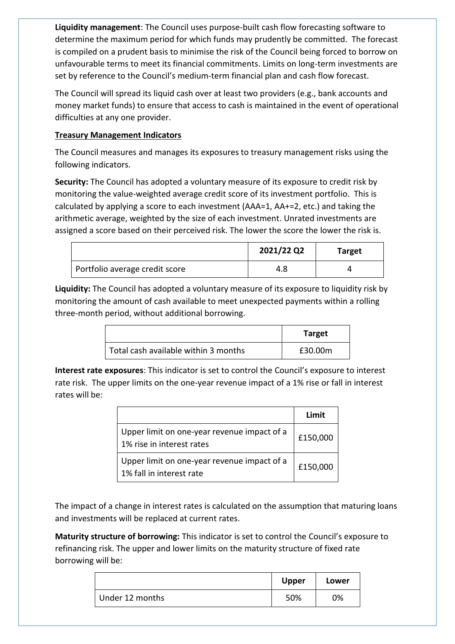**Liquidity management**: The Council uses purpose-built cash flow forecasting software to determine the maximum period for which funds may prudently be committed. The forecast is compiled on a prudent basis to minimise the risk of the Council being forced to borrow on unfavourable terms to meet its financial commitments. Limits on long-term investments are set by reference to the Council's medium-term financial plan and cash flow forecast.

The Council will spread its liquid cash over at least two providers (e.g., bank accounts and money market funds) to ensure that access to cash is maintained in the event of operational difficulties at any one provider.

# **Treasury Management Indicators**

The Council measures and manages its exposures to treasury management risks using the following indicators.

**Security:** The Council has adopted a voluntary measure of its exposure to credit risk by monitoring the value-weighted average credit score of its investment portfolio. This is calculated by applying a score to each investment (AAA=1, AA+=2, etc.) and taking the arithmetic average, weighted by the size of each investment. Unrated investments are assigned a score based on their perceived risk. The lower the score the lower the risk is.

|                                | 2021/22 Q2 | Target |
|--------------------------------|------------|--------|
| Portfolio average credit score | 4.8        |        |

**Liquidity:** The Council has adopted a voluntary measure of its exposure to liquidity risk by monitoring the amount of cash available to meet unexpected payments within a rolling three-month period, without additional borrowing.

|                                      | <b>Target</b> |
|--------------------------------------|---------------|
| Total cash available within 3 months | £30.00m       |

**Interest rate exposures**: This indicator is set to control the Council's exposure to interest rate risk. The upper limits on the one-year revenue impact of a 1% rise or fall in interest rates will be:

|                                                                          | Limit    |
|--------------------------------------------------------------------------|----------|
| Upper limit on one-year revenue impact of a<br>1% rise in interest rates | £150,000 |
| Upper limit on one-year revenue impact of a<br>1% fall in interest rate  | £150,000 |

The impact of a change in interest rates is calculated on the assumption that maturing loans and investments will be replaced at current rates.

**Maturity structure of borrowing:** This indicator is set to control the Council's exposure to refinancing risk. The upper and lower limits on the maturity structure of fixed rate borrowing will be:

|                 | <b>Upper</b> | Lower |
|-----------------|--------------|-------|
| Under 12 months | 50%          | 0%    |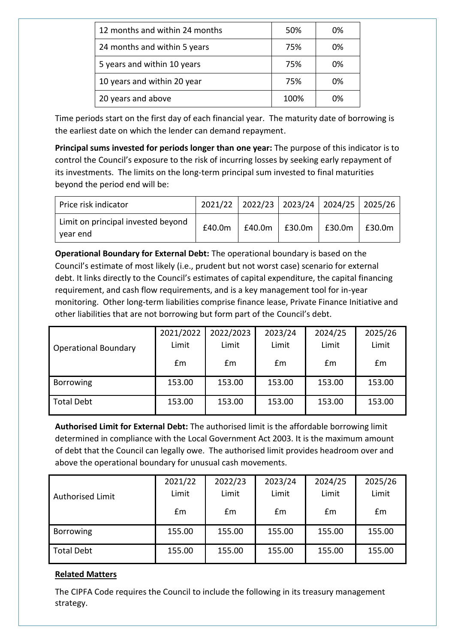| 12 months and within 24 months | 50%  | 0% |
|--------------------------------|------|----|
| 24 months and within 5 years   | 75%  | 0% |
| 5 years and within 10 years    | 75%  | 0% |
| 10 years and within 20 year    | 75%  | 0% |
| 20 years and above             | 100% | 0% |

Time periods start on the first day of each financial year. The maturity date of borrowing is the earliest date on which the lender can demand repayment.

**Principal sums invested for periods longer than one year:** The purpose of this indicator is to control the Council's exposure to the risk of incurring losses by seeking early repayment of its investments. The limits on the long-term principal sum invested to final maturities beyond the period end will be:

| Price risk indicator                           |        | 2021/22 2022/23 2023/24 2024/25 2025/26 |        |        |
|------------------------------------------------|--------|-----------------------------------------|--------|--------|
| Limit on principal invested beyond<br>year end | £40.0m | $£40.0m$   £30.0m                       | £30.0m | £30.0m |

**Operational Boundary for External Debt:** The operational boundary is based on the Council's estimate of most likely (i.e., prudent but not worst case) scenario for external debt. It links directly to the Council's estimates of capital expenditure, the capital financing requirement, and cash flow requirements, and is a key management tool for in-year monitoring. Other long-term liabilities comprise finance lease, Private Finance Initiative and other liabilities that are not borrowing but form part of the Council's debt.

|                             | 2021/2022 | 2022/2023 | 2023/24 | 2024/25 | 2025/26 |
|-----------------------------|-----------|-----------|---------|---------|---------|
| <b>Operational Boundary</b> | Limit     | Limit     | Limit   | Limit   | Limit   |
|                             | £m        | Em        | £m      | £m      | £m      |
| Borrowing                   | 153.00    | 153.00    | 153.00  | 153.00  | 153.00  |
| <b>Total Debt</b>           | 153.00    | 153.00    | 153.00  | 153.00  | 153.00  |

**Authorised Limit for External Debt:** The authorised limit is the affordable borrowing limit determined in compliance with the Local Government Act 2003. It is the maximum amount of debt that the Council can legally owe. The authorised limit provides headroom over and above the operational boundary for unusual cash movements.

|                         | 2021/22                 | 2022/23 | 2023/24 | 2024/25 | 2025/26 |
|-------------------------|-------------------------|---------|---------|---------|---------|
| <b>Authorised Limit</b> | Limit<br>Limit<br>Limit |         |         | Limit   | Limit   |
|                         | £m                      | £m      | Em      | £m      | £m      |
| <b>Borrowing</b>        | 155.00                  | 155.00  | 155.00  | 155.00  | 155.00  |
| <b>Total Debt</b>       | 155.00                  | 155.00  | 155.00  | 155.00  | 155.00  |

# **Related Matters**

The CIPFA Code requires the Council to include the following in its treasury management strategy.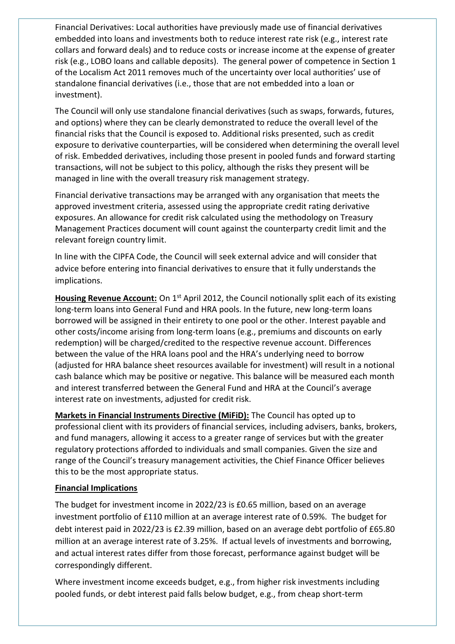Financial Derivatives: Local authorities have previously made use of financial derivatives embedded into loans and investments both to reduce interest rate risk (e.g., interest rate collars and forward deals) and to reduce costs or increase income at the expense of greater risk (e.g., LOBO loans and callable deposits). The general power of competence in Section 1 of the Localism Act 2011 removes much of the uncertainty over local authorities' use of standalone financial derivatives (i.e., those that are not embedded into a loan or investment).

The Council will only use standalone financial derivatives (such as swaps, forwards, futures, and options) where they can be clearly demonstrated to reduce the overall level of the financial risks that the Council is exposed to. Additional risks presented, such as credit exposure to derivative counterparties, will be considered when determining the overall level of risk. Embedded derivatives, including those present in pooled funds and forward starting transactions, will not be subject to this policy, although the risks they present will be managed in line with the overall treasury risk management strategy.

Financial derivative transactions may be arranged with any organisation that meets the approved investment criteria, assessed using the appropriate credit rating derivative exposures. An allowance for credit risk calculated using the methodology on Treasury Management Practices document will count against the counterparty credit limit and the relevant foreign country limit.

In line with the CIPFA Code, the Council will seek external advice and will consider that advice before entering into financial derivatives to ensure that it fully understands the implications.

**Housing Revenue Account:** On 1<sup>st</sup> April 2012, the Council notionally split each of its existing long-term loans into General Fund and HRA pools. In the future, new long-term loans borrowed will be assigned in their entirety to one pool or the other. Interest payable and other costs/income arising from long-term loans (e.g., premiums and discounts on early redemption) will be charged/credited to the respective revenue account. Differences between the value of the HRA loans pool and the HRA's underlying need to borrow (adjusted for HRA balance sheet resources available for investment) will result in a notional cash balance which may be positive or negative. This balance will be measured each month and interest transferred between the General Fund and HRA at the Council's average interest rate on investments, adjusted for credit risk.

**Markets in Financial Instruments Directive (MiFiD):** The Council has opted up to professional client with its providers of financial services, including advisers, banks, brokers, and fund managers, allowing it access to a greater range of services but with the greater regulatory protections afforded to individuals and small companies. Given the size and range of the Council's treasury management activities, the Chief Finance Officer believes this to be the most appropriate status.

# **Financial Implications**

The budget for investment income in 2022/23 is £0.65 million, based on an average investment portfolio of £110 million at an average interest rate of 0.59%. The budget for debt interest paid in 2022/23 is £2.39 million, based on an average debt portfolio of £65.80 million at an average interest rate of 3.25%. If actual levels of investments and borrowing, and actual interest rates differ from those forecast, performance against budget will be correspondingly different.

Where investment income exceeds budget, e.g., from higher risk investments including pooled funds, or debt interest paid falls below budget, e.g., from cheap short-term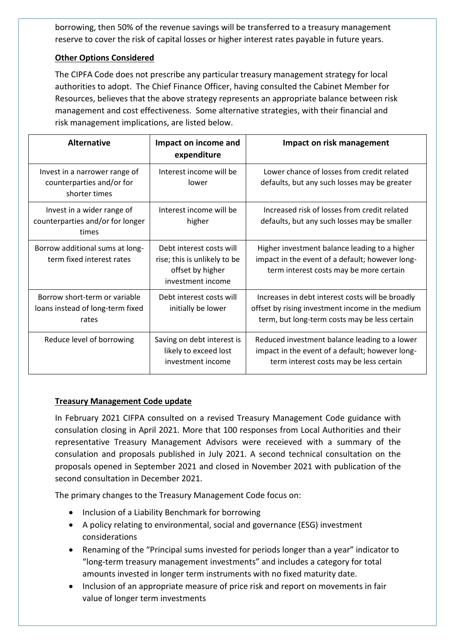borrowing, then 50% of the revenue savings will be transferred to a treasury management reserve to cover the risk of capital losses or higher interest rates payable in future years.

# **Other Options Considered**

The CIPFA Code does not prescribe any particular treasury management strategy for local authorities to adopt. The Chief Finance Officer, having consulted the Cabinet Member for Resources, believes that the above strategy represents an appropriate balance between risk management and cost effectiveness. Some alternative strategies, with their financial and risk management implications, are listed below.

| <b>Alternative</b>                                                          | Impact on income and<br>expenditure                                                               | Impact on risk management                                                                                                                             |
|-----------------------------------------------------------------------------|---------------------------------------------------------------------------------------------------|-------------------------------------------------------------------------------------------------------------------------------------------------------|
| Invest in a narrower range of<br>counterparties and/or for<br>shorter times | Interest income will be<br>lower                                                                  | Lower chance of losses from credit related<br>defaults, but any such losses may be greater                                                            |
| Invest in a wider range of<br>counterparties and/or for longer<br>times     | Interest income will be<br>higher                                                                 | Increased risk of losses from credit related<br>defaults, but any such losses may be smaller                                                          |
| Borrow additional sums at long-<br>term fixed interest rates                | Debt interest costs will<br>rise; this is unlikely to be<br>offset by higher<br>investment income | Higher investment balance leading to a higher<br>impact in the event of a default; however long-<br>term interest costs may be more certain           |
| Borrow short-term or variable<br>loans instead of long-term fixed<br>rates  | Debt interest costs will<br>initially be lower                                                    | Increases in debt interest costs will be broadly<br>offset by rising investment income in the medium<br>term, but long-term costs may be less certain |
| Reduce level of borrowing                                                   | Saving on debt interest is<br>likely to exceed lost<br>investment income                          | Reduced investment balance leading to a lower<br>impact in the event of a default; however long-<br>term interest costs may be less certain           |

# **Treasury Management Code update**

In February 2021 CIFPA consulted on a revised Treasury Management Code guidance with consulation closing in April 2021. More that 100 responses from Local Authorities and their representative Treasury Management Advisors were receieved with a summary of the consulation and proposals published in July 2021. A second technical consultation on the proposals opened in September 2021 and closed in November 2021 with publication of the second consultation in December 2021.

The primary changes to the Treasury Management Code focus on:

- Inclusion of a Liability Benchmark for borrowing
- A policy relating to environmental, social and governance (ESG) investment considerations
- Renaming of the "Principal sums invested for periods longer than a year" indicator to "long-term treasury management investments" and includes a category for total amounts invested in longer term instruments with no fixed maturity date.
- Inclusion of an appropriate measure of price risk and report on movements in fair value of longer term investments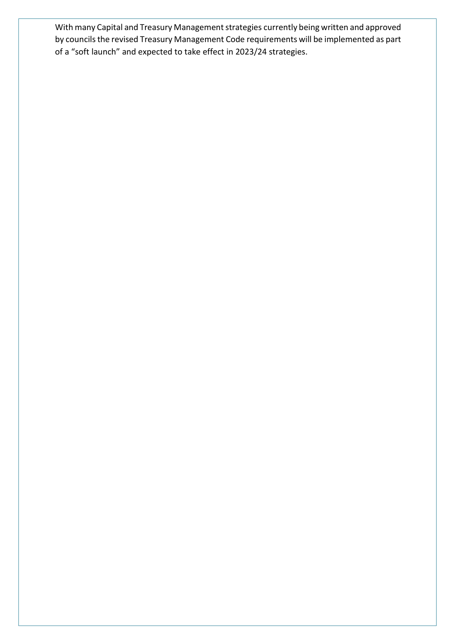With many Capital and Treasury Management strategies currently being written and approved by councils the revised Treasury Management Code requirements will be implemented as part of a "soft launch" and expected to take effect in 2023/24 strategies.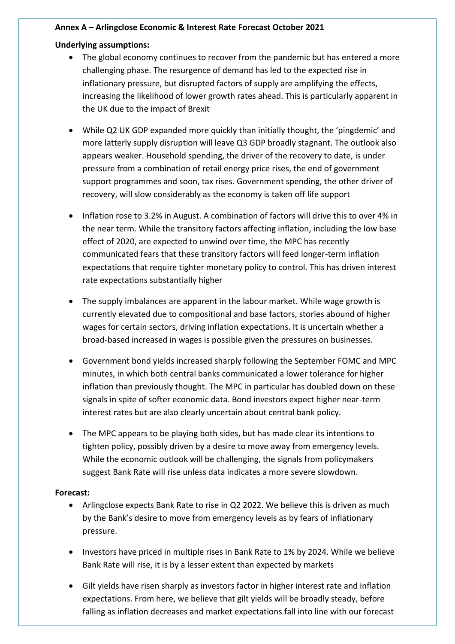## **Annex A – Arlingclose Economic & Interest Rate Forecast October 2021**

# **Underlying assumptions:**

- The global economy continues to recover from the pandemic but has entered a more challenging phase. The resurgence of demand has led to the expected rise in inflationary pressure, but disrupted factors of supply are amplifying the effects, increasing the likelihood of lower growth rates ahead. This is particularly apparent in the UK due to the impact of Brexit
- While Q2 UK GDP expanded more quickly than initially thought, the 'pingdemic' and more latterly supply disruption will leave Q3 GDP broadly stagnant. The outlook also appears weaker. Household spending, the driver of the recovery to date, is under pressure from a combination of retail energy price rises, the end of government support programmes and soon, tax rises. Government spending, the other driver of recovery, will slow considerably as the economy is taken off life support
- Inflation rose to 3.2% in August. A combination of factors will drive this to over 4% in the near term. While the transitory factors affecting inflation, including the low base effect of 2020, are expected to unwind over time, the MPC has recently communicated fears that these transitory factors will feed longer-term inflation expectations that require tighter monetary policy to control. This has driven interest rate expectations substantially higher
- The supply imbalances are apparent in the labour market. While wage growth is currently elevated due to compositional and base factors, stories abound of higher wages for certain sectors, driving inflation expectations. It is uncertain whether a broad-based increased in wages is possible given the pressures on businesses.
- Government bond yields increased sharply following the September FOMC and MPC minutes, in which both central banks communicated a lower tolerance for higher inflation than previously thought. The MPC in particular has doubled down on these signals in spite of softer economic data. Bond investors expect higher near-term interest rates but are also clearly uncertain about central bank policy.
- The MPC appears to be playing both sides, but has made clear its intentions to tighten policy, possibly driven by a desire to move away from emergency levels. While the economic outlook will be challenging, the signals from policymakers suggest Bank Rate will rise unless data indicates a more severe slowdown.

# **Forecast:**

- Arlingclose expects Bank Rate to rise in Q2 2022. We believe this is driven as much by the Bank's desire to move from emergency levels as by fears of inflationary pressure.
- Investors have priced in multiple rises in Bank Rate to 1% by 2024. While we believe Bank Rate will rise, it is by a lesser extent than expected by markets
- Gilt yields have risen sharply as investors factor in higher interest rate and inflation expectations. From here, we believe that gilt yields will be broadly steady, before falling as inflation decreases and market expectations fall into line with our forecast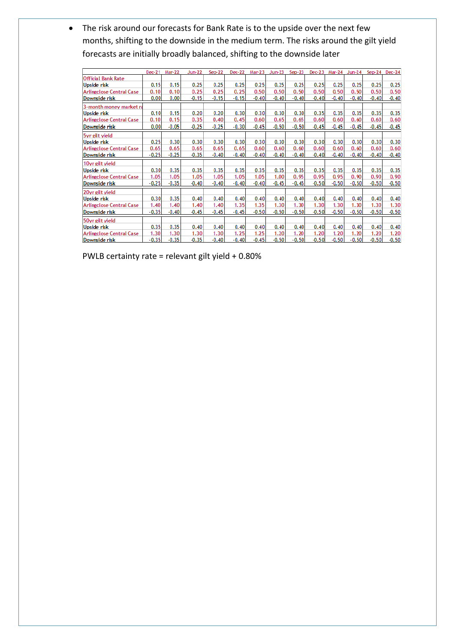• The risk around our forecasts for Bank Rate is to the upside over the next few months, shifting to the downside in the medium term. The risks around the gilt yield forecasts are initially broadly balanced, shifting to the downside later

|                                 | $Dec-21$ | <b>Mar-22</b> | <b>Jun-22</b> | $Sep-22$ | $Dec-22$ | $Mar-23$ | $Jun-23$ | $Sep-23$ | $Dec-23$ | Mar-24  | Jun-24  |         | $Sep-24$ $Dec-24$ |
|---------------------------------|----------|---------------|---------------|----------|----------|----------|----------|----------|----------|---------|---------|---------|-------------------|
| <b>Official Bank Rate</b>       |          |               |               |          |          |          |          |          |          |         |         |         |                   |
| <b>Upside risk</b>              | 0.15     | 0.15          | 0.25          | 0.25     | 0.25     | 0.25     | 0.25     | 0.25     | 0.25     | 0.25    | 0.25    | 0.25    | 0.25              |
| <b>Arlingclose Central Case</b> | 0.10     | 0.10          | 0.25          | 0.25     | 0.25     | 0.50     | 0.50     | 0.50     | 0.50     | 0.50    | 0.50    | 0.50    | 0.50              |
| Downside risk                   | 0.00     | 0.00          | $-0.15$       | $-0.15$  | $-0.15$  | $-0.40$  | $-0.40$  | $-0.40$  | $-0.40$  | $-0.40$ | $-0.40$ | $-0.40$ | $-0.40$           |
| 3-month money market ra         |          |               |               |          |          |          |          |          |          |         |         |         |                   |
| <b>Upside risk</b>              | 0.10     | 0.15          | 0.20          | 0.20     | 0.30     | 0.30     | 0.30     | 0.30     | 0.35     | 0.35    | 0.35    | 0.35    | 0.35              |
| <b>Arlingclose Central Case</b> | 0.10     | 0.15          | 0.35          | 0.40     | 0.45     | 0.60     | 0.65     | 0.65     | 0.60     | 0.60    | 0.60    | 0.60    | 0.60              |
| Downside risk                   | 0.00     | $-0.05$       | $-0.25$       | $-0.25$  | $-0.30$  | $-0.45$  | $-0.50$  | $-0.50$  | $-0.45$  | $-0.45$ | $-0.45$ | $-0.45$ | $-0.45$           |
| 5yr gilt yield                  |          |               |               |          |          |          |          |          |          |         |         |         |                   |
| <b>Upside risk</b>              | 0.25     | 0.30          | 0.30          | 0.30     | 0.30     | 0.30     | 0.30     | 0.30     | 0.30     | 0.30    | 0.30    | 0.30    | 0.30              |
| <b>Arlingclose Central Case</b> | 0.65     | 0.65          | 0.65          | 0.65     | 0.65     | 0.60     | 0.60     | 0.60     | 0.60     | 0.60    | 0.60    | 0.60    | 0.60              |
| Downside risk                   | $-0.25$  | $-0.25$       | $-0.35$       | $-0.40$  | $-0.40$  | $-0.40$  | $-0.40$  | $-0.40$  | $-0.40$  | $-0.40$ | $-0.40$ | $-0.40$ | $-0.40$           |
| 10yr gilt yield                 |          |               |               |          |          |          |          |          |          |         |         |         |                   |
| <b>Upside risk</b>              | 0.30     | 0.35          | 0.35          | 0.35     | 0.35     | 0.35     | 0.35     | 0.35     | 0.35     | 0.35    | 0.35    | 0.35    | 0.35              |
| <b>Arlingclose Central Case</b> | 1.05     | 1.05          | 1.05          | 1.05     | 1.05     | 1.05     | 1.00     | 0.95     | 0.95     | 0.95    | 0.90    | 0.90    | 0.90              |
| Downside risk                   | $-0.25$  | $-0.35$       | $-0.40$       | $-0.40$  | $-0.40$  | $-0.40$  | $-0.45$  | $-0.45$  | $-0.50$  | $-0.50$ | $-0.50$ | $-0.50$ | $-0.50$           |
| 20yr gilt yield                 |          |               |               |          |          |          |          |          |          |         |         |         |                   |
| <b>Upside risk</b>              | 0.30     | 0.35          | 0.40          | 0.40     | 0.40     | 0.40     | 0.40     | 0.40     | 0.40     | 0.40    | 0.40    | 0.40    | 0.40              |
| <b>Arlingclose Central Case</b> | 1.40     | 1.40          | 1.40          | 1.40     | 1.35     | 1.35     | 1.30     | 1.30     | 1.30     | 1.30    | 1.30    | 1.30    | 1.30              |
| Downside risk                   | $-0.35$  | $-0.40$       | $-0.45$       | $-0.45$  | $-0.45$  | $-0.50$  | $-0.50$  | $-0.50$  | $-0.50$  | $-0.50$ | $-0.50$ | $-0.50$ | $-0.50$           |
| 50yr gilt yield                 |          |               |               |          |          |          |          |          |          |         |         |         |                   |
| <b>Upside risk</b>              | 0.35     | 0.35          | 0.40          | 0.40     | 0.40     | 0.40     | 0.40     | 0.40     | 0.40     | 0.40    | 0.40    | 0.40    | 0.40              |
| <b>Arlingclose Central Case</b> | 1.30     | 1.30          | 1.30          | 1.30     | 1.25     | 1.25     | 1.20     | 1.20     | 1.20     | 1.20    | 1.20    | 1.20    | 1.20              |
| Downside risk                   | $-0.35$  | $-0.35$       | $-0.35$       | $-0.40$  | $-0.40$  | $-0.45$  | $-0.50$  | $-0.50$  | $-0.50$  | $-0.50$ | $-0.50$ | $-0.50$ | $-0.50$           |

PWLB certainty rate = relevant gilt yield + 0.80%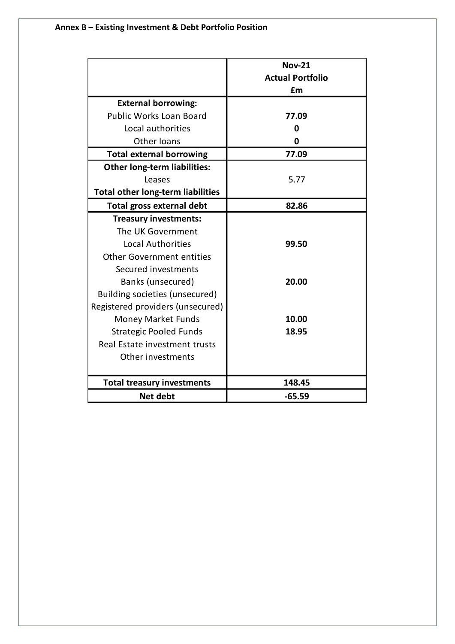|                                          | <b>Nov-21</b>           |
|------------------------------------------|-------------------------|
|                                          | <b>Actual Portfolio</b> |
|                                          | £m                      |
| <b>External borrowing:</b>               |                         |
| <b>Public Works Loan Board</b>           | 77.09                   |
| Local authorities                        | 0                       |
| Other loans                              | 0                       |
| <b>Total external borrowing</b>          | 77.09                   |
| <b>Other long-term liabilities:</b>      |                         |
| Leases                                   | 5.77                    |
| <b>Total other long-term liabilities</b> |                         |
| <b>Total gross external debt</b>         | 82.86                   |
| <b>Treasury investments:</b>             |                         |
| The UK Government                        |                         |
| <b>Local Authorities</b>                 | 99.50                   |
| <b>Other Government entities</b>         |                         |
| Secured investments                      |                         |
| Banks (unsecured)                        | 20.00                   |
| Building societies (unsecured)           |                         |
| Registered providers (unsecured)         |                         |
| <b>Money Market Funds</b>                | 10.00                   |
| <b>Strategic Pooled Funds</b>            | 18.95                   |
| Real Estate investment trusts            |                         |
| Other investments                        |                         |
|                                          |                         |
| <b>Total treasury investments</b>        | 148.45                  |
| <b>Net debt</b>                          | $-65.59$                |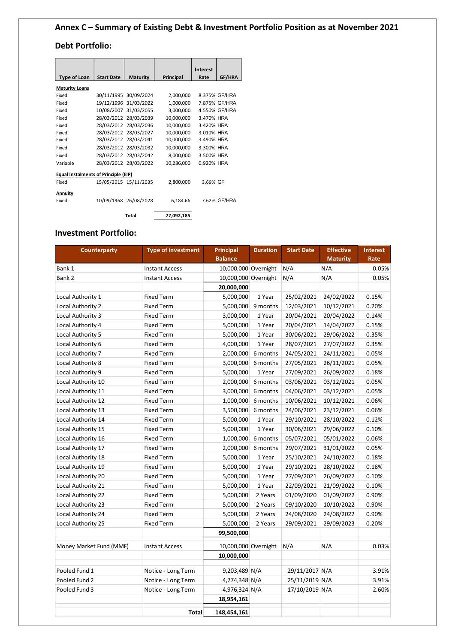# **Annex C – Summary of Existing Debt & Investment Portfolio Position as at November 2021**

## **Debt Portfolio:**

|                                      |                   |                       |            | <b>Interest</b> |               |
|--------------------------------------|-------------------|-----------------------|------------|-----------------|---------------|
| <b>Type of Loan</b>                  | <b>Start Date</b> | <b>Maturity</b>       | Principal  | Rate            | GF/HRA        |
| <b>Maturity Loans</b>                |                   |                       |            |                 |               |
| Fixed                                |                   | 30/11/1995 30/09/2024 | 2,000,000  |                 | 8.375% GF/HRA |
| Fixed                                |                   | 19/12/1996 31/03/2022 | 1,000,000  |                 | 7.875% GF/HRA |
| Fixed                                |                   | 10/08/2007 31/03/2055 | 3,000,000  |                 | 4.550% GF/HRA |
| Fixed                                |                   | 28/03/2012 28/03/2039 | 10,000,000 | 3.470% HRA      |               |
| Fixed                                |                   | 28/03/2012 28/03/2036 | 10,000,000 | 3.420% HRA      |               |
| Fixed                                |                   | 28/03/2012 28/03/2027 | 10,000,000 | 3.010% HRA      |               |
| Fixed                                |                   | 28/03/2012 28/03/2041 | 10,000,000 | 3.490% HRA      |               |
| Fixed                                |                   | 28/03/2012 28/03/2032 | 10,000,000 | 3.300% HRA      |               |
| Fixed                                |                   | 28/03/2012 28/03/2042 | 8,000,000  | 3.500% HRA      |               |
| Variable                             |                   | 28/03/2012 28/03/2022 | 10,286,000 | 0.920% HRA      |               |
| Equal Instalments of Principle (EIP) |                   |                       |            |                 |               |
| Fixed                                |                   | 15/05/2015 15/11/2035 | 2,800,000  | 3.69% GF        |               |
| Annuity                              |                   |                       |            |                 |               |
| Fixed                                |                   | 10/09/1968 26/08/2028 | 6,184.66   |                 | 7.62% GF/HRA  |
|                                      |                   | Total                 | 77,092,185 |                 |               |

## **Investment Portfolio:**

| <b>Counterparty</b>     | <b>Type of investment</b> | <b>Principal</b>     | <b>Duration</b> | <b>Start Date</b> | <b>Effective</b> | <b>Interest</b> |
|-------------------------|---------------------------|----------------------|-----------------|-------------------|------------------|-----------------|
|                         |                           | <b>Balance</b>       |                 |                   | <b>Maturity</b>  | Rate            |
| Bank 1                  | <b>Instant Access</b>     | 10,000,000 Overnight |                 | N/A               | N/A              | 0.05%           |
| Bank 2                  | <b>Instant Access</b>     | 10,000,000 Overnight |                 | N/A               | N/A              | 0.05%           |
|                         |                           | 20,000,000           |                 |                   |                  |                 |
| Local Authority 1       | <b>Fixed Term</b>         | 5,000,000            | 1 Year          | 25/02/2021        | 24/02/2022       | 0.15%           |
| Local Authority 2       | <b>Fixed Term</b>         | 5,000,000            | 9 months        | 12/03/2021        | 10/12/2021       | 0.20%           |
| Local Authority 3       | <b>Fixed Term</b>         | 3,000,000            | 1 Year          | 20/04/2021        | 20/04/2022       | 0.14%           |
| Local Authority 4       | <b>Fixed Term</b>         | 5,000,000            | 1 Year          | 20/04/2021        | 14/04/2022       | 0.15%           |
| Local Authority 5       | <b>Fixed Term</b>         | 5,000,000            | 1 Year          | 30/06/2021        | 29/06/2022       | 0.35%           |
| Local Authority 6       | <b>Fixed Term</b>         | 4,000,000            | 1 Year          | 28/07/2021        | 27/07/2022       | 0.35%           |
| Local Authority 7       | <b>Fixed Term</b>         | 2,000,000            | 6 months        | 24/05/2021        | 24/11/2021       | 0.05%           |
| Local Authority 8       | <b>Fixed Term</b>         | 3,000,000            | 6 months        | 27/05/2021        | 26/11/2021       | 0.05%           |
| Local Authority 9       | <b>Fixed Term</b>         | 5,000,000            | 1 Year          | 27/09/2021        | 26/09/2022       | 0.18%           |
| Local Authority 10      | <b>Fixed Term</b>         | 2,000,000            | 6 months        | 03/06/2021        | 03/12/2021       | 0.05%           |
| Local Authority 11      | <b>Fixed Term</b>         | 3,000,000            | 6 months        | 04/06/2021        | 03/12/2021       | 0.05%           |
| Local Authority 12      | <b>Fixed Term</b>         | 1,000,000            | 6 months        | 10/06/2021        | 10/12/2021       | 0.06%           |
| Local Authority 13      | <b>Fixed Term</b>         | 3,500,000            | 6 months        | 24/06/2021        | 23/12/2021       | 0.06%           |
| Local Authority 14      | <b>Fixed Term</b>         | 5,000,000            | 1 Year          | 29/10/2021        | 28/10/2022       | 0.12%           |
| Local Authority 15      | <b>Fixed Term</b>         | 5,000,000            | 1 Year          | 30/06/2021        | 29/06/2022       | 0.10%           |
| Local Authority 16      | <b>Fixed Term</b>         | 1,000,000            | 6 months        | 05/07/2021        | 05/01/2022       | 0.06%           |
| Local Authority 17      | <b>Fixed Term</b>         | 2,000,000            | 6 months        | 29/07/2021        | 31/01/2022       | 0.05%           |
| Local Authority 18      | <b>Fixed Term</b>         | 5,000,000            | 1 Year          | 25/10/2021        | 24/10/2022       | 0.18%           |
| Local Authority 19      | <b>Fixed Term</b>         | 5,000,000            | 1 Year          | 29/10/2021        | 28/10/2022       | 0.18%           |
| Local Authority 20      | <b>Fixed Term</b>         | 5,000,000            | 1 Year          | 27/09/2021        | 26/09/2022       | 0.10%           |
| Local Authority 21      | <b>Fixed Term</b>         | 5,000,000            | 1 Year          | 22/09/2021        | 21/09/2022       | 0.10%           |
| Local Authority 22      | <b>Fixed Term</b>         | 5,000,000            | 2 Years         | 01/09/2020        | 01/09/2022       | 0.90%           |
| Local Authority 23      | <b>Fixed Term</b>         | 5,000,000            | 2 Years         | 09/10/2020        | 10/10/2022       | 0.90%           |
| Local Authority 24      | <b>Fixed Term</b>         | 5,000,000            | 2 Years         | 24/08/2020        | 24/08/2022       | 0.90%           |
| Local Authority 25      | <b>Fixed Term</b>         | 5,000,000            | 2 Years         | 29/09/2021        | 29/09/2023       | 0.20%           |
|                         |                           | 99,500,000           |                 |                   |                  |                 |
| Money Market Fund (MMF) | <b>Instant Access</b>     | 10,000,000 Overnight |                 | N/A               | N/A              | 0.03%           |
|                         |                           | 10,000,000           |                 |                   |                  |                 |
| Pooled Fund 1           | Notice - Long Term        | 9,203,489 N/A        |                 | 29/11/2017 N/A    |                  | 3.91%           |
| Pooled Fund 2           | Notice - Long Term        | 4,774,348 N/A        |                 | 25/11/2019 N/A    |                  | 3.91%           |
| Pooled Fund 3           | Notice - Long Term        | 4,976,324 N/A        |                 | 17/10/2019 N/A    |                  | 2.60%           |
|                         |                           | 18,954,161           |                 |                   |                  |                 |
|                         | Total                     | 148,454,161          |                 |                   |                  |                 |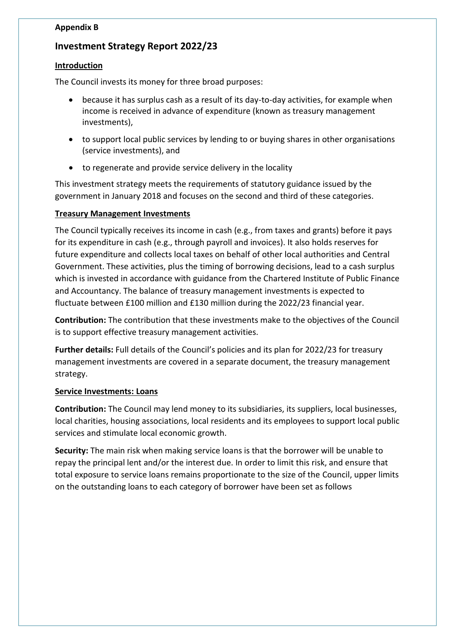## **Appendix B**

# **Investment Strategy Report 2022/23**

### **Introduction**

The Council invests its money for three broad purposes:

- because it has surplus cash as a result of its day-to-day activities, for example when income is received in advance of expenditure (known as treasury management investments),
- to support local public services by lending to or buying shares in other organisations (service investments), and
- to regenerate and provide service delivery in the locality

This investment strategy meets the requirements of statutory guidance issued by the government in January 2018 and focuses on the second and third of these categories.

# **Treasury Management Investments**

The Council typically receives its income in cash (e.g., from taxes and grants) before it pays for its expenditure in cash (e.g., through payroll and invoices). It also holds reserves for future expenditure and collects local taxes on behalf of other local authorities and Central Government. These activities, plus the timing of borrowing decisions, lead to a cash surplus which is invested in accordance with guidance from the Chartered Institute of Public Finance and Accountancy. The balance of treasury management investments is expected to fluctuate between £100 million and £130 million during the 2022/23 financial year.

**Contribution:** The contribution that these investments make to the objectives of the Council is to support effective treasury management activities.

**Further details:** Full details of the Council's policies and its plan for 2022/23 for treasury management investments are covered in a separate document, the treasury management strategy.

### **Service Investments: Loans**

**Contribution:** The Council may lend money to its subsidiaries, its suppliers, local businesses, local charities, housing associations, local residents and its employees to support local public services and stimulate local economic growth.

**Security:** The main risk when making service loans is that the borrower will be unable to repay the principal lent and/or the interest due. In order to limit this risk, and ensure that total exposure to service loans remains proportionate to the size of the Council, upper limits on the outstanding loans to each category of borrower have been set as follows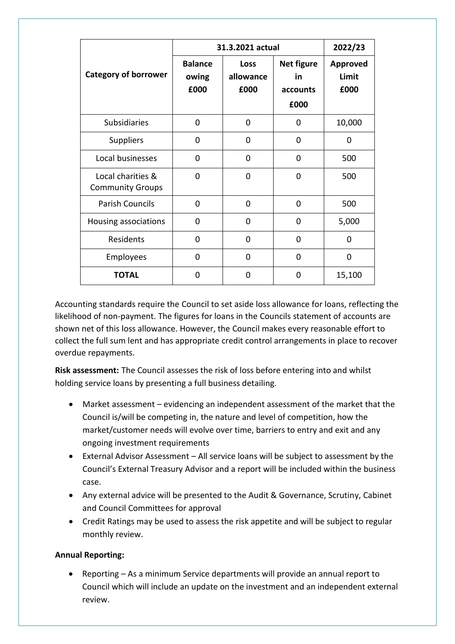|                                              | 31.3.2021 actual                |                           | 2022/23                                     |                                  |
|----------------------------------------------|---------------------------------|---------------------------|---------------------------------------------|----------------------------------|
| <b>Category of borrower</b>                  | <b>Balance</b><br>owing<br>£000 | Loss<br>allowance<br>£000 | <b>Net figure</b><br>in<br>accounts<br>£000 | <b>Approved</b><br>Limit<br>£000 |
| <b>Subsidiaries</b>                          | $\Omega$                        | 0                         | 0                                           | 10,000                           |
| <b>Suppliers</b>                             | 0                               | 0                         | 0                                           | 0                                |
| Local businesses                             | 0                               | $\Omega$                  | 0                                           | 500                              |
| Local charities &<br><b>Community Groups</b> | 0                               | 0                         | 0                                           | 500                              |
| <b>Parish Councils</b>                       | $\Omega$                        | $\Omega$                  | 0                                           | 500                              |
| Housing associations                         | 0                               | 0                         | 0                                           | 5,000                            |
| Residents                                    | 0                               | 0                         | 0                                           | 0                                |
| Employees                                    | 0                               | $\Omega$                  | 0                                           | $\Omega$                         |
| <b>TOTAL</b>                                 | 0                               | 0                         | 0                                           | 15,100                           |

Accounting standards require the Council to set aside loss allowance for loans, reflecting the likelihood of non-payment. The figures for loans in the Councils statement of accounts are shown net of this loss allowance. However, the Council makes every reasonable effort to collect the full sum lent and has appropriate credit control arrangements in place to recover overdue repayments.

**Risk assessment:** The Council assesses the risk of loss before entering into and whilst holding service loans by presenting a full business detailing.

- Market assessment evidencing an independent assessment of the market that the Council is/will be competing in, the nature and level of competition, how the market/customer needs will evolve over time, barriers to entry and exit and any ongoing investment requirements
- External Advisor Assessment All service loans will be subject to assessment by the Council's External Treasury Advisor and a report will be included within the business case.
- Any external advice will be presented to the Audit & Governance, Scrutiny, Cabinet and Council Committees for approval
- Credit Ratings may be used to assess the risk appetite and will be subject to regular monthly review.

# **Annual Reporting:**

• Reporting – As a minimum Service departments will provide an annual report to Council which will include an update on the investment and an independent external review.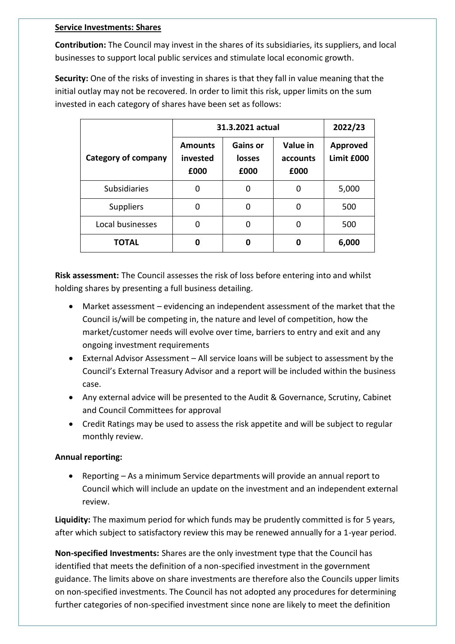### **Service Investments: Shares**

**Contribution:** The Council may invest in the shares of its subsidiaries, its suppliers, and local businesses to support local public services and stimulate local economic growth.

**Security:** One of the risks of investing in shares is that they fall in value meaning that the initial outlay may not be recovered. In order to limit this risk, upper limits on the sum invested in each category of shares have been set as follows:

|                            | 31.3.2021 actual                   | 2022/23                           |                              |                        |
|----------------------------|------------------------------------|-----------------------------------|------------------------------|------------------------|
| <b>Category of company</b> | <b>Amounts</b><br>invested<br>£000 | <b>Gains or</b><br>losses<br>£000 | Value in<br>accounts<br>£000 | Approved<br>Limit £000 |
| <b>Subsidiaries</b>        | O                                  | 0                                 | ŋ                            | 5,000                  |
| <b>Suppliers</b>           | O                                  | $\Omega$                          | 0                            | 500                    |
| Local businesses           | O                                  | 0                                 | O                            | 500                    |
| <b>TOTAL</b>               | Ω                                  | 0                                 | 0                            | 6,000                  |

**Risk assessment:** The Council assesses the risk of loss before entering into and whilst holding shares by presenting a full business detailing.

- Market assessment evidencing an independent assessment of the market that the Council is/will be competing in, the nature and level of competition, how the market/customer needs will evolve over time, barriers to entry and exit and any ongoing investment requirements
- External Advisor Assessment All service loans will be subject to assessment by the Council's External Treasury Advisor and a report will be included within the business case.
- Any external advice will be presented to the Audit & Governance, Scrutiny, Cabinet and Council Committees for approval
- Credit Ratings may be used to assess the risk appetite and will be subject to regular monthly review.

# **Annual reporting:**

• Reporting – As a minimum Service departments will provide an annual report to Council which will include an update on the investment and an independent external review.

**Liquidity:** The maximum period for which funds may be prudently committed is for 5 years, after which subject to satisfactory review this may be renewed annually for a 1-year period.

**Non-specified Investments:** Shares are the only investment type that the Council has identified that meets the definition of a non-specified investment in the government guidance. The limits above on share investments are therefore also the Councils upper limits on non-specified investments. The Council has not adopted any procedures for determining further categories of non-specified investment since none are likely to meet the definition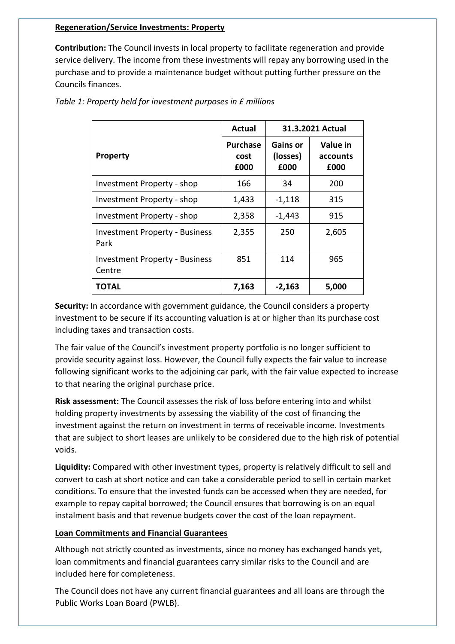### **Regeneration/Service Investments: Property**

**Contribution:** The Council invests in local property to facilitate regeneration and provide service delivery. The income from these investments will repay any borrowing used in the purchase and to provide a maintenance budget without putting further pressure on the Councils finances.

|                                                 | Actual                          | 31.3.2021 Actual                    |                              |
|-------------------------------------------------|---------------------------------|-------------------------------------|------------------------------|
| <b>Property</b>                                 | <b>Purchase</b><br>cost<br>£000 | <b>Gains or</b><br>(losses)<br>£000 | Value in<br>accounts<br>£000 |
| Investment Property - shop                      | 166                             | 34                                  | 200                          |
| Investment Property - shop                      | 1,433                           | $-1,118$                            | 315                          |
| Investment Property - shop                      | 2,358                           | $-1,443$                            | 915                          |
| <b>Investment Property - Business</b><br>Park   | 2,355                           | 250                                 | 2,605                        |
| <b>Investment Property - Business</b><br>Centre | 851                             | 114                                 | 965                          |
| TOTAL                                           | 7,163                           | $-2,163$                            | 5,000                        |

*Table 1: Property held for investment purposes in £ millions*

**Security:** In accordance with government guidance, the Council considers a property investment to be secure if its accounting valuation is at or higher than its purchase cost including taxes and transaction costs.

The fair value of the Council's investment property portfolio is no longer sufficient to provide security against loss. However, the Council fully expects the fair value to increase following significant works to the adjoining car park, with the fair value expected to increase to that nearing the original purchase price.

**Risk assessment:** The Council assesses the risk of loss before entering into and whilst holding property investments by assessing the viability of the cost of financing the investment against the return on investment in terms of receivable income. Investments that are subject to short leases are unlikely to be considered due to the high risk of potential voids.

**Liquidity:** Compared with other investment types, property is relatively difficult to sell and convert to cash at short notice and can take a considerable period to sell in certain market conditions. To ensure that the invested funds can be accessed when they are needed, for example to repay capital borrowed; the Council ensures that borrowing is on an equal instalment basis and that revenue budgets cover the cost of the loan repayment.

### **Loan Commitments and Financial Guarantees**

Although not strictly counted as investments, since no money has exchanged hands yet, loan commitments and financial guarantees carry similar risks to the Council and are included here for completeness.

The Council does not have any current financial guarantees and all loans are through the Public Works Loan Board (PWLB).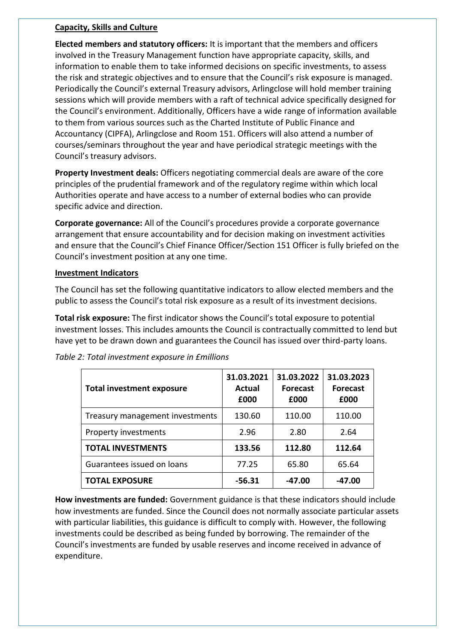### **Capacity, Skills and Culture**

**Elected members and statutory officers:** It is important that the members and officers involved in the Treasury Management function have appropriate capacity, skills, and information to enable them to take informed decisions on specific investments, to assess the risk and strategic objectives and to ensure that the Council's risk exposure is managed. Periodically the Council's external Treasury advisors, Arlingclose will hold member training sessions which will provide members with a raft of technical advice specifically designed for the Council's environment. Additionally, Officers have a wide range of information available to them from various sources such as the Charted Institute of Public Finance and Accountancy (CIPFA), Arlingclose and Room 151. Officers will also attend a number of courses/seminars throughout the year and have periodical strategic meetings with the Council's treasury advisors.

**Property Investment deals:** Officers negotiating commercial deals are aware of the core principles of the prudential framework and of the regulatory regime within which local Authorities operate and have access to a number of external bodies who can provide specific advice and direction.

**Corporate governance:** All of the Council's procedures provide a corporate governance arrangement that ensure accountability and for decision making on investment activities and ensure that the Council's Chief Finance Officer/Section 151 Officer is fully briefed on the Council's investment position at any one time.

### **Investment Indicators**

The Council has set the following quantitative indicators to allow elected members and the public to assess the Council's total risk exposure as a result of its investment decisions.

**Total risk exposure:** The first indicator shows the Council's total exposure to potential investment losses. This includes amounts the Council is contractually committed to lend but have yet to be drawn down and guarantees the Council has issued over third-party loans.

| <b>Total investment exposure</b> | 31.03.2021<br><b>Actual</b><br>£000 | 31.03.2022<br><b>Forecast</b><br>£000 | 31.03.2023<br><b>Forecast</b><br>£000 |
|----------------------------------|-------------------------------------|---------------------------------------|---------------------------------------|
| Treasury management investments  | 130.60                              | 110.00                                | 110.00                                |
| Property investments             | 2.96                                | 2.80                                  | 2.64                                  |
| <b>TOTAL INVESTMENTS</b>         | 133.56                              | 112.80                                | 112.64                                |
| Guarantees issued on loans       | 77.25                               | 65.80                                 | 65.64                                 |
| <b>TOTAL EXPOSURE</b>            | $-56.31$                            | $-47.00$                              | $-47.00$                              |

*Table 2: Total investment exposure in £millions*

**How investments are funded:** Government guidance is that these indicators should include how investments are funded. Since the Council does not normally associate particular assets with particular liabilities, this guidance is difficult to comply with. However, the following investments could be described as being funded by borrowing. The remainder of the Council's investments are funded by usable reserves and income received in advance of expenditure.